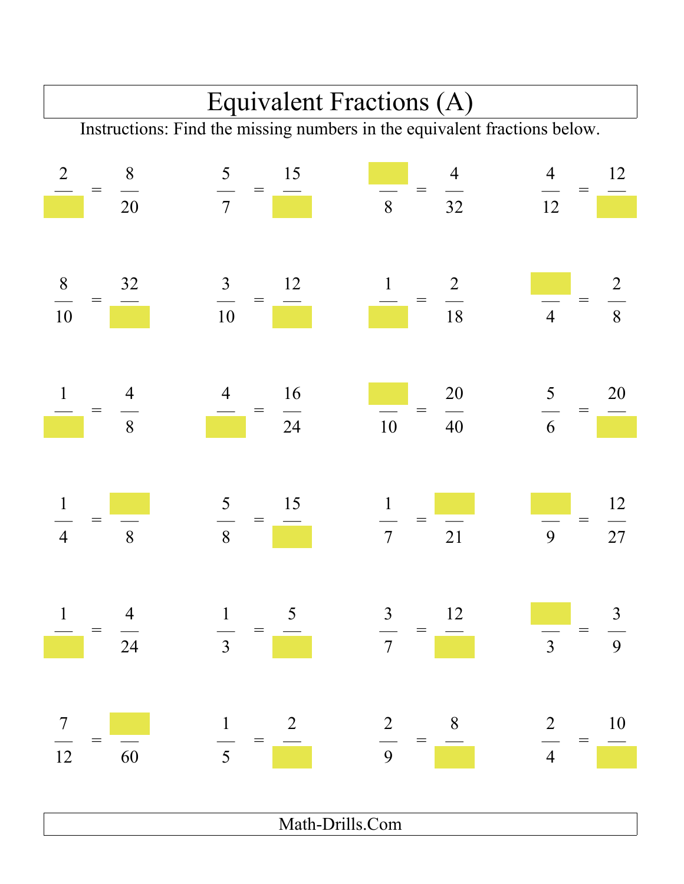